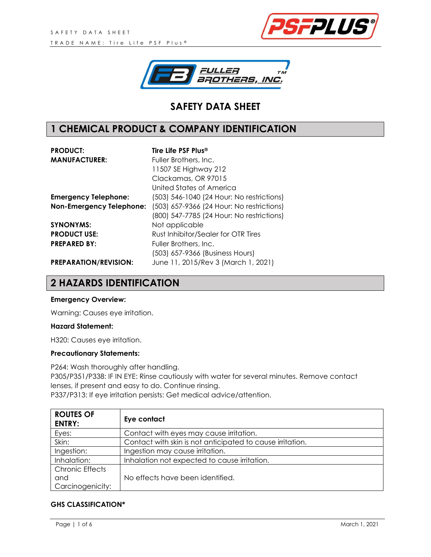



# **SAFETY DATA SHEET**

## **1 CHEMICAL PRODUCT & COMPANY IDENTIFICATION**

| <b>PRODUCT:</b>                 | Tire Life PSF Plus <sup>®</sup>           |
|---------------------------------|-------------------------------------------|
| <b>MANUFACTURER:</b>            | Fuller Brothers, Inc.                     |
|                                 | 11507 SE Highway 212                      |
|                                 | Clackamas, OR 97015                       |
|                                 | United States of America                  |
| <b>Emergency Telephone:</b>     | (503) 546-1040 (24 Hour: No restrictions) |
| <b>Non-Emergency Telephone:</b> | (503) 657-9366 (24 Hour: No restrictions) |
|                                 | (800) 547-7785 (24 Hour: No restrictions) |
| <b>SYNONYMS:</b>                | Not applicable                            |
| <b>PRODUCT USE:</b>             | Rust Inhibitor/Sealer for OTR Tires       |
| <b>PREPARED BY:</b>             | Fuller Brothers, Inc.                     |
|                                 | (503) 657-9366 (Business Hours)           |
| <b>PREPARATION/REVISION:</b>    | June 11, 2015/Rev 3 (March 1, 2021)       |

### **2 HAZARDS IDENTIFICATION**

#### **Emergency Overview:**

Warning: Causes eye irritation.

#### **Hazard Statement:**

H320: Causes eye irritation.

#### **Precautionary Statements:**

P264: Wash thoroughly after handling. P305/P351/P338: IF IN EYE: Rinse cautiously with water for several minutes. Remove contact lenses, if present and easy to do. Continue rinsing. P337/P313: If eye irritation persists: Get medical advice/attention.

| <b>ROUTES OF</b><br><b>ENTRY:</b> | Eye contact                                               |
|-----------------------------------|-----------------------------------------------------------|
| Eyes:                             | Contact with eyes may cause irritation.                   |
| Skin:                             | Contact with skin is not anticipated to cause irritation. |
| Ingestion:                        | Ingestion may cause irritation.                           |
| Inhalation:                       | Inhalation not expected to cause irritation.              |
| <b>Chronic Effects</b>            |                                                           |
| and                               | No effects have been identified.                          |
| Carcinogenicity:                  |                                                           |

#### **GHS CLASSIFICATION\***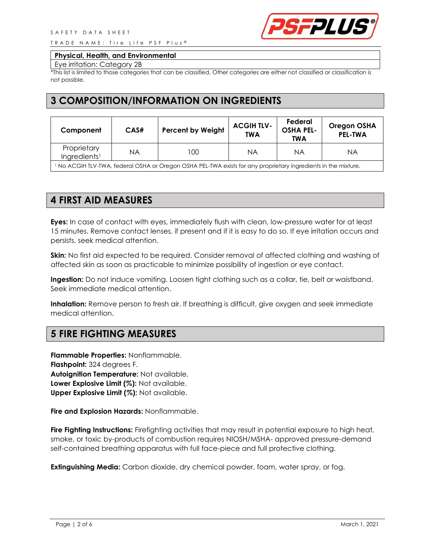TRADE NAME: Tire Life PSF Plus<sup>®</sup>



#### **Physical, Health, and Environmental**

Eye irritation: Category 2B

\*This list is limited to those categories that can be classified. Other categories are either not classified or classification is not possible.

### **3 COMPOSITION/INFORMATION ON INGREDIENTS**

| Component                               | CAS# | <b>Percent by Weight</b> | <b>ACGIH TLV-</b><br><b>TWA</b> | Federal<br><b>OSHA PEL-</b><br><b>TWA</b> | <b>Oregon OSHA</b><br><b>PEL-TWA</b> |
|-----------------------------------------|------|--------------------------|---------------------------------|-------------------------------------------|--------------------------------------|
| Proprietary<br>Ingredients <sup>1</sup> | ΝA   | 00                       | ΝA                              | ΝA                                        | ΝA                                   |

<sup>1</sup> No ACGIH TLV-TWA, federal OSHA or Oregon OSHA PEL-TWA exists for any proprietary ingredients in the mixture.

## **4 FIRST AID MEASURES**

**Eyes:** In case of contact with eyes, immediately flush with clean, low-pressure water for at least 15 minutes. Remove contact lenses, if present and if it is easy to do so. If eye irritation occurs and persists, seek medical attention.

**Skin:** No first aid expected to be required. Consider removal of affected clothing and washing of affected skin as soon as practicable to minimize possibility of ingestion or eye contact.

**Ingestion:** Do not induce vomiting. Loosen tight clothing such as a collar, tie, belt or waistband. Seek immediate medical attention.

**Inhalation:** Remove person to fresh air. If breathing is difficult, give oxygen and seek immediate medical attention.

## **5 FIRE FIGHTING MEASURES**

**Flammable Properties:** Nonflammable. **Flashpoint:** 324 degrees F. **Autoignition Temperature:** Not available. **Lower Explosive Limit (%):** Not available. **Upper Explosive Limit (%):** Not available.

**Fire and Explosion Hazards:** Nonflammable.

**Fire Fighting Instructions:** Firefighting activities that may result in potential exposure to high heat, smoke, or toxic by-products of combustion requires NIOSH/MSHA- approved pressure-demand self-contained breathing apparatus with full face-piece and full protective clothing.

**Extinguishing Media:** Carbon dioxide, dry chemical powder, foam, water spray, or fog.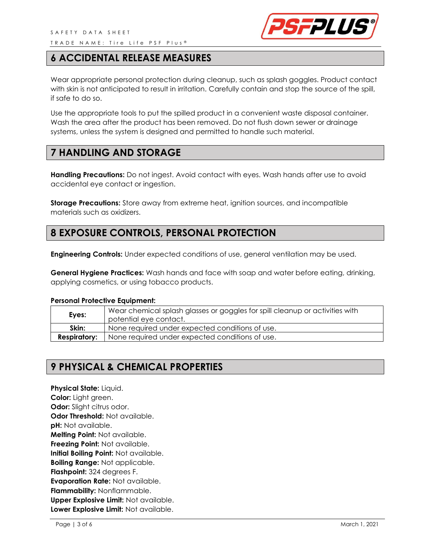

### **6 ACCIDENTAL RELEASE MEASURES**

Wear appropriate personal protection during cleanup, such as splash goggles. Product contact with skin is not anticipated to result in irritation. Carefully contain and stop the source of the spill, if safe to do so.

Use the appropriate tools to put the spilled product in a convenient waste disposal container. Wash the area after the product has been removed. Do not flush down sewer or drainage systems, unless the system is designed and permitted to handle such material.

### **7 HANDLING AND STORAGE**

**Handling Precautions:** Do not ingest. Avoid contact with eyes. Wash hands after use to avoid accidental eye contact or ingestion.

**Storage Precautions:** Store away from extreme heat, ignition sources, and incompatible materials such as oxidizers.

## **8 EXPOSURE CONTROLS, PERSONAL PROTECTION**

**Engineering Controls:** Under expected conditions of use, general ventilation may be used.

**General Hygiene Practices:** Wash hands and face with soap and water before eating, drinking, applying cosmetics, or using tobacco products.

#### **Personal Protective Equipment:**

| Eyes:               | Wear chemical splash glasses or goggles for spill cleanup or activities with<br>potential eve contact. |
|---------------------|--------------------------------------------------------------------------------------------------------|
| Skin:               | None required under expected conditions of use.                                                        |
| <b>Respiratory:</b> | None required under expected conditions of use.                                                        |

## **9 PHYSICAL & CHEMICAL PROPERTIES**

**Physical State:** Liquid. **Color:** Light green. **Odor:** Slight citrus odor. **Odor Threshold:** Not available. **pH:** Not available. **Melting Point:** Not available. **Freezing Point:** Not available. **Initial Boiling Point:** Not available. **Boiling Range:** Not applicable. **Flashpoint:** 324 degrees F. **Evaporation Rate:** Not available. **Flammability:** Nonflammable. **Upper Explosive Limit:** Not available. **Lower Explosive Limit:** Not available.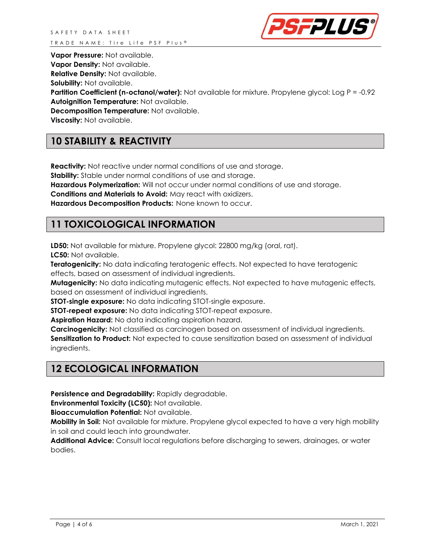

**Vapor Pressure:** Not available.

**Vapor Density:** Not available.

**Relative Density:** Not available.

**Solubility:** Not available.

**Partition Coefficient (n-octanol/water):** Not available for mixture. Propylene glycol: Log P = -0.92 **Autoignition Temperature:** Not available.

**Decomposition Temperature:** Not available.

**Viscosity:** Not available.

# **10 STABILITY & REACTIVITY**

**Reactivity:** Not reactive under normal conditions of use and storage.

**Stability:** Stable under normal conditions of use and storage.

**Hazardous Polymerization:** Will not occur under normal conditions of use and storage.

**Conditions and Materials to Avoid:** May react with oxidizers.

**Hazardous Decomposition Products:** None known to occur.

## **11 TOXICOLOGICAL INFORMATION**

**LD50:** Not available for mixture. Propylene glycol: 22800 mg/kg (oral, rat). **LC50:** Not available.

**Teratogenicity:** No data indicating teratogenic effects. Not expected to have teratogenic effects, based on assessment of individual ingredients.

**Mutagenicity:** No data indicating mutagenic effects. Not expected to have mutagenic effects, based on assessment of individual ingredients.

**STOT-single exposure:** No data indicating STOT-single exposure.

**STOT-repeat exposure:** No data indicating STOT-repeat exposure.

**Aspiration Hazard:** No data indicating aspiration hazard.

**Carcinogenicity:** Not classified as carcinogen based on assessment of individual ingredients. **Sensitization to Product:** Not expected to cause sensitization based on assessment of individual ingredients.

# **12 ECOLOGICAL INFORMATION**

**Persistence and Degradability:** Rapidly degradable.

**Environmental Toxicity (LC50):** Not available.

**Bioaccumulation Potential:** Not available.

**Mobility in Soil:** Not available for mixture. Propylene glycol expected to have a very high mobility in soil and could leach into groundwater.

**Additional Advice:** Consult local regulations before discharging to sewers, drainages, or water bodies.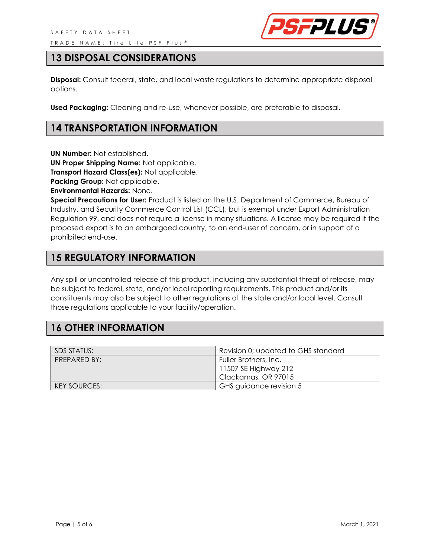

## **13 DISPOSAL CONSIDERATIONS**

**Disposal:** Consult federal, state, and local waste regulations to determine appropriate disposal options.

**Used Packaging:** Cleaning and re-use, whenever possible, are preferable to disposal.

## **14 TRANSPORTATION INFORMATION**

**UN Number:** Not established.

**UN Proper Shipping Name:** Not applicable.

**Transport Hazard Class(es):** Not applicable.

**Packing Group:** Not applicable.

**Environmental Hazards:** None.

**Special Precautions for User:** Product is listed on the U.S. Department of Commerce, Bureau of Industry, and Security Commerce Control List (CCL), but is exempt under Export Administration Regulation 99, and does not require a license in many situations. A license may be required if the proposed export is to an embargoed country, to an end-user of concern, or in support of a prohibited end-use.

## **15 REGULATORY INFORMATION**

Any spill or uncontrolled release of this product, including any substantial threat of release, may be subject to federal, state, and/or local reporting requirements. This product and/or its constituents may also be subject to other regulations at the state and/or local level. Consult those regulations applicable to your facility/operation.

## **16 OTHER INFORMATION**

| SDS STATUS:         | Revision 0; updated to GHS standard |
|---------------------|-------------------------------------|
| PREPARED BY:        | Fuller Brothers, Inc.               |
|                     | 11507 SE Highway 212                |
|                     | Clackamas, OR 97015                 |
| <b>KEY SOURCES:</b> | GHS guidance revision 5             |